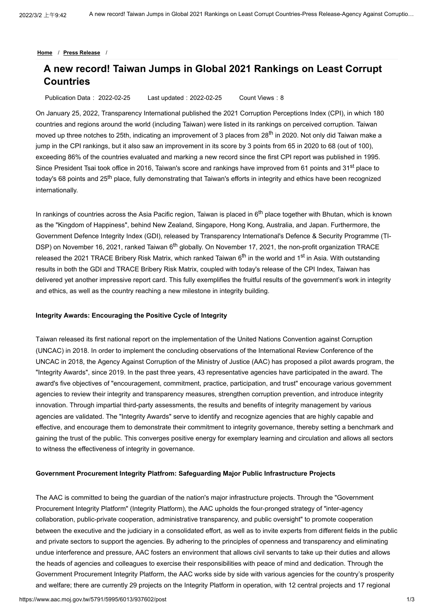**[Home](https://www.aac.moj.gov.tw/5791/)** / **[Press Release](https://www.aac.moj.gov.tw/5791/5995/6013/Lpsimplelist)** /

# **A new record! Taiwan Jumps in Global 2021 Rankings on Least Corrupt Countries**

Publication Data: 2022-02-25 Last updated:2022-02-25 Count Views:8

On January 25, 2022, Transparency International published the 2021 Corruption Perceptions Index (CPI), in which 180 countries and regions around the world (including Taiwan) were listed in its rankings on perceived corruption. Taiwan moved up three notches to 25th, indicating an improvement of 3 places from 28<sup>th</sup> in 2020. Not only did Taiwan make a jump in the CPI rankings, but it also saw an improvement in its score by 3 points from 65 in 2020 to 68 (out of 100), exceeding 86% of the countries evaluated and marking a new record since the first CPI report was published in 1995. Since President Tsai took office in 2016, Taiwan's score and rankings have improved from 61 points and 31<sup>st</sup> place to today's 68 points and 25<sup>th</sup> place, fully demonstrating that Taiwan's efforts in integrity and ethics have been recognized internationally.

In rankings of countries across the Asia Pacific region, Taiwan is placed in 6<sup>th</sup> place together with Bhutan, which is known as the "Kingdom of Happiness", behind New Zealand, Singapore, Hong Kong, Australia, and Japan. Furthermore, the Government Defence Integrity Index (GDI), released by Transparency International's Defence & Security Programme (TI-DSP) on November 16, 2021, ranked Taiwan 6<sup>th</sup> globally. On November 17, 2021, the non-profit organization TRACE released the 2021 TRACE Bribery Risk Matrix, which ranked Taiwan 6<sup>th</sup> in the world and 1<sup>st</sup> in Asia. With outstanding results in both the GDI and TRACE Bribery Risk Matrix, coupled with today's release of the CPI Index, Taiwan has delivered yet another impressive report card. This fully exemplifies the fruitful results of the government's work in integrity and ethics, as well as the country reaching a new milestone in integrity building.

#### **Integrity Awards: Encouraging the Positive Cycle of Integrity**

Taiwan released its first national report on the implementation of the United Nations Convention against Corruption (UNCAC) in 2018. In order to implement the concluding observations of the International Review Conference of the UNCAC in 2018, the Agency Against Corruption of the Ministry of Justice (AAC) has proposed a pilot awards program, the "Integrity Awards", since 2019. In the past three years, 43 representative agencies have participated in the award. The award's five objectives of "encouragement, commitment, practice, participation, and trust" encourage various government agencies to review their integrity and transparency measures, strengthen corruption prevention, and introduce integrity innovation. Through impartial third-party assessments, the results and benefits of integrity management by various agencies are validated. The "Integrity Awards" serve to identify and recognize agencies that are highly capable and effective, and encourage them to demonstrate their commitment to integrity governance, thereby setting a benchmark and gaining the trust of the public. This converges positive energy for exemplary learning and circulation and allows all sectors to witness the effectiveness of integrity in governance.

#### **Government Procurement Integrity Platfrom: Safeguarding Major Public Infrastructure Projects**

The AAC is committed to being the guardian of the nation's major infrastructure projects. Through the "Government Procurement Integrity Platform" (Integrity Platform), the AAC upholds the four-pronged strategy of "inter-agency collaboration, public-private cooperation, administrative transparency, and public oversight" to promote cooperation between the executive and the judiciary in a consolidated effort, as well as to invite experts from different fields in the public and private sectors to support the agencies. By adhering to the principles of openness and transparency and eliminating undue interference and pressure, AAC fosters an environment that allows civil servants to take up their duties and allows the heads of agencies and colleagues to exercise their responsibilities with peace of mind and dedication. Through the Government Procurement Integrity Platform, the AAC works side by side with various agencies for the country's prosperity and welfare; there are currently 29 projects on the Integrity Platform in operation, with 12 central projects and 17 regional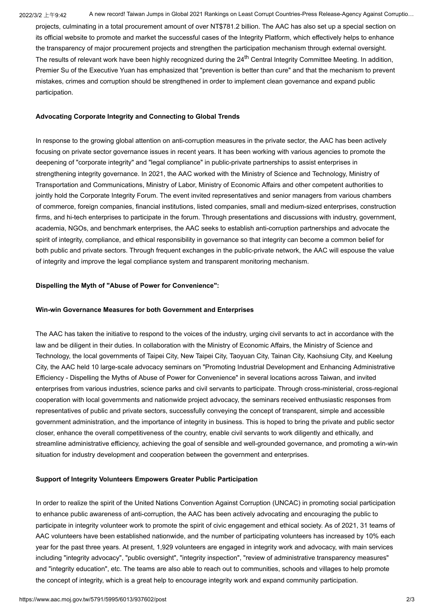2022/3/2 上午9:42 A new record! Taiwan Jumps in Global 2021 Rankings on Least Corrupt Countries-Press Release-Agency Against Corruptio...

projects, culminating in a total procurement amount of over NT\$781.2 billion. The AAC has also set up a special section on its official website to promote and market the successful cases of the Integrity Platform, which effectively helps to enhance the transparency of major procurement projects and strengthen the participation mechanism through external oversight. The results of relevant work have been highly recognized during the 24<sup>th</sup> Central Integrity Committee Meeting. In addition, Premier Su of the Executive Yuan has emphasized that "prevention is better than cure" and that the mechanism to prevent mistakes, crimes and corruption should be strengthened in order to implement clean governance and expand public participation.

## **Advocating Corporate Integrity and Connecting to Global Trends**

In response to the growing global attention on anti-corruption measures in the private sector, the AAC has been actively focusing on private sector governance issues in recent years. It has been working with various agencies to promote the deepening of "corporate integrity" and "legal compliance" in public-private partnerships to assist enterprises in strengthening integrity governance. In 2021, the AAC worked with the Ministry of Science and Technology, Ministry of Transportation and Communications, Ministry of Labor, Ministry of Economic Affairs and other competent authorities to jointly hold the Corporate Integrity Forum. The event invited representatives and senior managers from various chambers of commerce, foreign companies, financial institutions, listed companies, small and medium-sized enterprises, construction firms, and hi-tech enterprises to participate in the forum. Through presentations and discussions with industry, government, academia, NGOs, and benchmark enterprises, the AAC seeks to establish anti-corruption partnerships and advocate the spirit of integrity, compliance, and ethical responsibility in governance so that integrity can become a common belief for both public and private sectors. Through frequent exchanges in the public-private network, the AAC will espouse the value of integrity and improve the legal compliance system and transparent monitoring mechanism.

## **Dispelling the Myth of "Abuse of Power for Convenience":**

## **Win-win Governance Measures for both Government and Enterprises**

The AAC has taken the initiative to respond to the voices of the industry, urging civil servants to act in accordance with the law and be diligent in their duties. In collaboration with the Ministry of Economic Affairs, the Ministry of Science and Technology, the local governments of Taipei City, New Taipei City, Taoyuan City, Tainan City, Kaohsiung City, and Keelung City, the AAC held 10 large-scale advocacy seminars on "Promoting Industrial Development and Enhancing Administrative Efficiency - Dispelling the Myths of Abuse of Power for Convenience" in several locations across Taiwan, and invited enterprises from various industries, science parks and civil servants to participate. Through cross-ministerial, cross-regional cooperation with local governments and nationwide project advocacy, the seminars received enthusiastic responses from representatives of public and private sectors, successfully conveying the concept of transparent, simple and accessible government administration, and the importance of integrity in business. This is hoped to bring the private and public sector closer, enhance the overall competitiveness of the country, enable civil servants to work diligently and ethically, and streamline administrative efficiency, achieving the goal of sensible and well-grounded governance, and promoting a win-win situation for industry development and cooperation between the government and enterprises.

## **Support of Integrity Volunteers Empowers Greater Public Participation**

In order to realize the spirit of the United Nations Convention Against Corruption (UNCAC) in promoting social participation to enhance public awareness of anti-corruption, the AAC has been actively advocating and encouraging the public to participate in integrity volunteer work to promote the spirit of civic engagement and ethical society. As of 2021, 31 teams of AAC volunteers have been established nationwide, and the number of participating volunteers has increased by 10% each year for the past three years. At present, 1,929 volunteers are engaged in integrity work and advocacy, with main services including "integrity advocacy", "public oversight", "integrity inspection", "review of administrative transparency measures" and "integrity education", etc. The teams are also able to reach out to communities, schools and villages to help promote the concept of integrity, which is a great help to encourage integrity work and expand community participation.